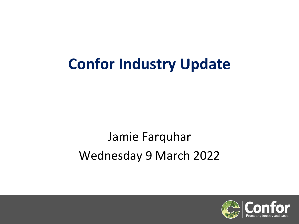## **Confor Industry Update**

### Jamie Farquhar Wednesday 9 March 2022

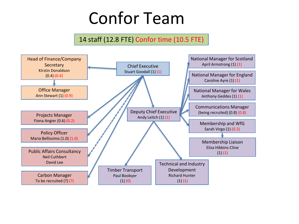# Confor Team

#### 14 staff (12.8 FTE) Confor time (10.5 FTE)

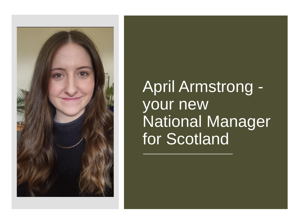

## April Armstrong your new National Manager for Scotland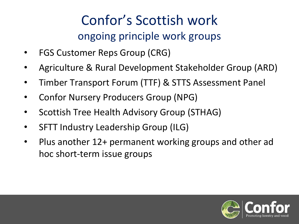#### Confor's Scottish work ongoing principle work groups

- FGS Customer Reps Group (CRG)
- Agriculture & Rural Development Stakeholder Group (ARD)
- Timber Transport Forum (TTF) & STTS Assessment Panel
- Confor Nursery Producers Group (NPG)
- Scottish Tree Health Advisory Group (STHAG)
- SFTT Industry Leadership Group (ILG)
- Plus another 12+ permanent working groups and other ad hoc short-term issue groups

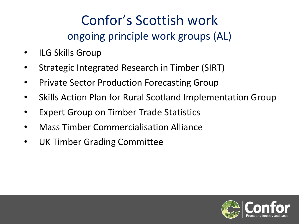#### Confor's Scottish work ongoing principle work groups (AL)

- **ILG Skills Group**
- Strategic Integrated Research in Timber (SIRT)
- Private Sector Production Forecasting Group
- Skills Action Plan for Rural Scotland Implementation Group
- **Expert Group on Timber Trade Statistics**
- Mass Timber Commercialisation Alliance
- UK Timber Grading Committee

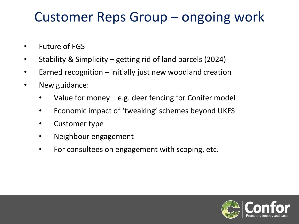#### Customer Reps Group – ongoing work

- Future of FGS
- Stability & Simplicity getting rid of land parcels (2024)
- Earned recognition initially just new woodland creation
- New guidance:
	- Value for money e.g. deer fencing for Conifer model
	- Economic impact of 'tweaking' schemes beyond UKFS
	- Customer type
	- Neighbour engagement
	- For consultees on engagement with scoping, etc.

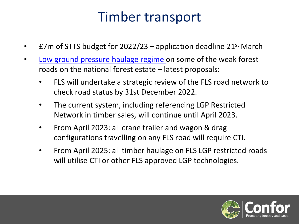#### Timber transport

- £7m of STTS budget for  $2022/23$  application deadline  $21^{st}$  March
- [Low ground pressure haulage regime o](https://forestryandland.gov.scot/what-we-do/timber-industry/low-ground-pressure-haulage-network?highlight=low%20ground%20pressure)n some of the weak forest roads on the national forest estate – latest proposals:
	- FLS will undertake a strategic review of the FLS road network to check road status by 31st December 2022.
	- The current system, including referencing LGP Restricted Network in timber sales, will continue until April 2023.
	- From April 2023: all crane trailer and wagon & drag configurations travelling on any FLS road will require CTI.
	- From April 2025: all timber haulage on FLS LGP restricted roads will utilise CTI or other FLS approved LGP technologies.

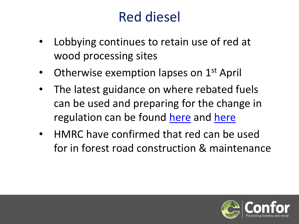#### Red diesel

- Lobbying continues to retain use of red at wood processing sites
- Otherwise exemption lapses on 1<sup>st</sup> April
- The latest guidance on where rebated fuels can be used and preparing for the change in regulation can be found [here](https://www.gov.uk/guidance/fuels-for-use-in-vehicles-excise-notice-75?utm_medium=email&utm_campaign=govuk-notifications-topic&utm_source=3a96429b-17a0-4dc4-830a-06d7488401ea&utm_content=immediately) and here
- HMRC have confirmed that red can be used for in forest road construction & maintenance

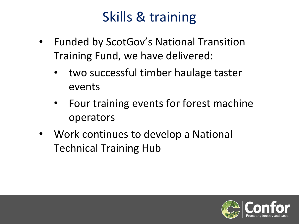### Skills & training

- Funded by ScotGov's National Transition Training Fund, we have delivered:
	- two successful timber haulage taster events
	- Four training events for forest machine operators
- Work continues to develop a National Technical Training Hub

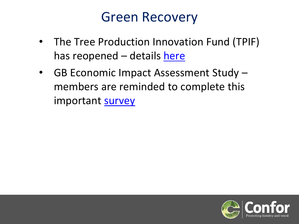#### Green Recovery

- The Tree Production Innovation Fund (TPIF) has reopened – details [here](https://eur03.safelinks.protection.outlook.com/?url=https%3A%2F%2Fwww.gov.uk%2Fguidance%2Ftree-production-innovation-fund&data=04%7C01%7Candy.leitch%40confor.org.uk%7C888d9c6499aa4febbf2a08d9ebc0503f%7Cbcf9846ddbf84b2fb806baf8cd25c522%7C0%7C0%7C637800033485259106%7CUnknown%7CTWFpbGZsb3d8eyJWIjoiMC4wLjAwMDAiLCJQIjoiV2luMzIiLCJBTiI6Ik1haWwiLCJXVCI6Mn0%3D%7C3000&sdata=BF3aHCZ0PiXM1Lobg0ellv%2FPRRMbof7v2SaJBhMVwdw%3D&reserved=0)
- GB Economic Impact Assessment Study members are reminded to complete this important [survey](https://eur03.safelinks.protection.outlook.com/?url=https%3A%2F%2Fwww.surveymonkey.co.uk%2Fr%2FGBForestrySurveyConfor&data=04%7C01%7CAndy.Leitch%40confor.org.uk%7Ca8ccdfc43efb4ed7a87b08d9ebea03ce%7Cbcf9846ddbf84b2fb806baf8cd25c522%7C0%7C0%7C637800212814631830%7CUnknown%7CTWFpbGZsb3d8eyJWIjoiMC4wLjAwMDAiLCJQIjoiV2luMzIiLCJBTiI6Ik1haWwiLCJXVCI6Mn0%3D%7C3000&sdata=TfY0cXoN9bxNtMEAK7zHASjM69N5W3JrFN9%2Fppl0pe0%3D&reserved=0)

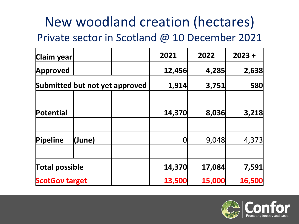#### New woodland creation (hectares) Private sector in Scotland @ 10 December 2021

| Claim year                     |        |        | 2021   | 2022   | $2023 +$   |
|--------------------------------|--------|--------|--------|--------|------------|
| Approved                       |        |        | 12,456 | 4,285  | 2,638      |
| Submitted but not yet approved |        |        | 1,914  | 3,751  | <b>580</b> |
| Potential                      |        |        | 14,370 | 8,036  | 3,218      |
| Pipeline                       | (June) |        |        | 9,048  | 4,373      |
| <b>Total possible</b>          |        | 14,370 | 17,084 | 7,591  |            |
| <b>ScotGov target</b>          |        | 13,500 | 15,000 | 16,500 |            |

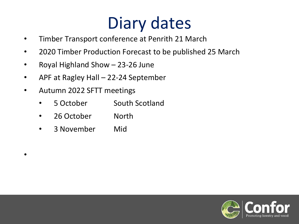# Diary dates

- Timber Transport conference at Penrith 21 March
- 2020 Timber Production Forecast to be published 25 March
- Royal Highland Show 23-26 June
- APF at Ragley Hall 22-24 September
- Autumn 2022 SFTT meetings
	- 5 October South Scotland
	- 26 October North
	- 3 November Mid

•